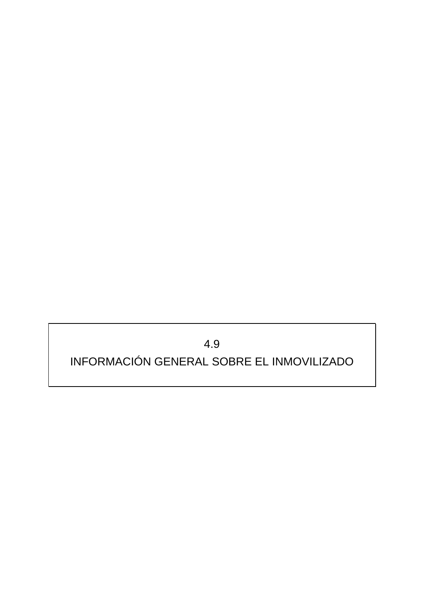## 4.9 INFORMACIÓN GENERAL SOBRE EL INMOVILIZADO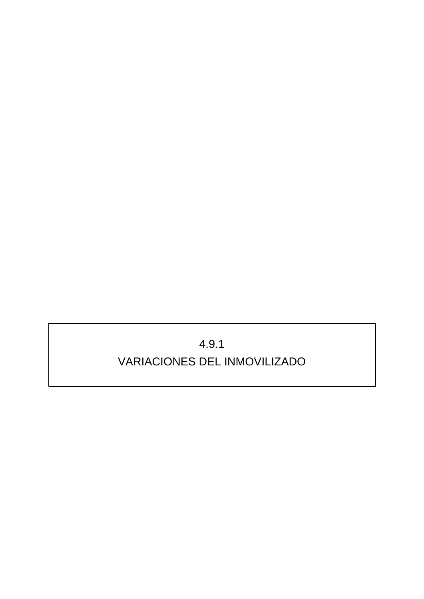## 4.9.1 VARIACIONES DEL INMOVILIZADO